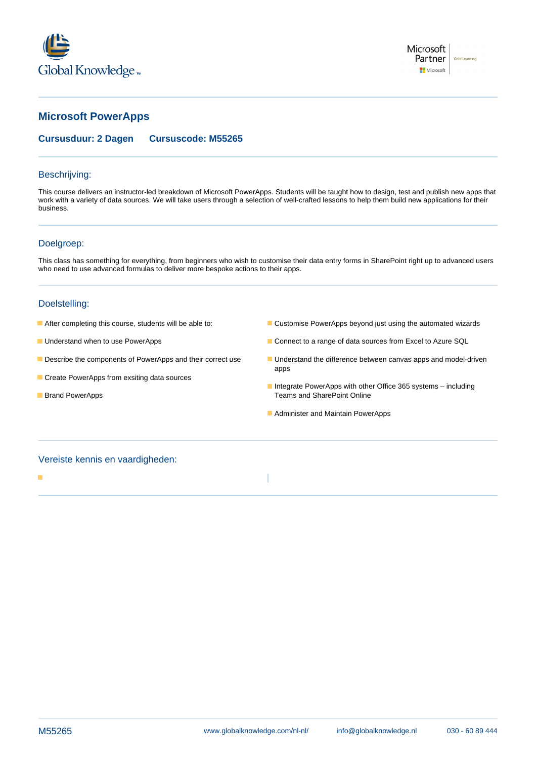



# **Microsoft PowerApps**

### **Cursusduur: 2 Dagen Cursuscode: M55265**

### Beschrijving:

This course delivers an instructor-led breakdown of Microsoft PowerApps. Students will be taught how to design, test and publish new apps that work with a variety of data sources. We will take users through a selection of well-crafted lessons to help them build new applications for their business.

## Doelgroep:

This class has something for everything, from beginners who wish to customise their data entry forms in SharePoint right up to advanced users who need to use advanced formulas to deliver more bespoke actions to their apps.

### Doelstelling:

- 
- 
- 
- Create PowerApps from exsiting data sources
- 
- After completing this course, students will be able to: Customise PowerApps beyond just using the automated wizards
- Understand when to use PowerApps Connect to a range of data sources from Excel to Azure SQL
- **Describe the components of PowerApps and their correct use Understand the difference between canvas apps and model-driven** apps
- Integrate PowerApps with other Office 365 systems including **Brand PowerApps** Teams and SharePoint Online
	- **Administer and Maintain PowerApps**

## Vereiste kennis en vaardigheden: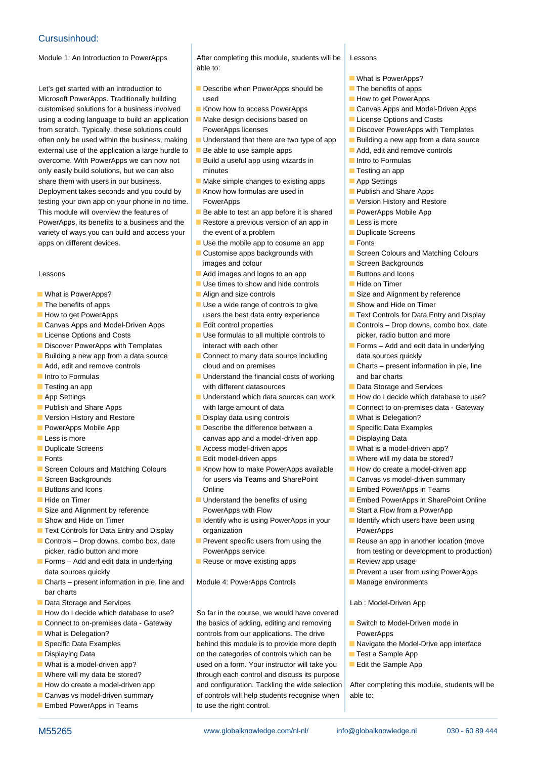# Cursusinhoud:

Let's get started with an introduction to **Describe when PowerApps should be** The benefits of apps Microsoft PowerApps. Traditionally building used used How to get PowerApps used How to get PowerApps customised solutions for a business involved **K** Know how to access PowerApps Canvas Apps and Model-Driven Apps using a coding language to build an application **Make design decisions based on License Options and Costs** from scratch. Typically, these solutions could PowerApps licenses Power PowerApps with Templates often only be used within the business, making  $\Box$  Understand that there are two type of app  $\Box$  Building a new app from a data source external use of the application a large hurdle to  $\Box$  Be able to use sample apps  $\Box$  Add, edit and remove controls overcome. With PowerApps we can now not Build a useful app using wizards in Intro to Formulas only easily build solutions, but we can also minutes Testing an app and Testing an app share them with users in our business.  $\blacksquare$  Make simple changes to existing apps  $\blacksquare$  App Settings Deployment takes seconds and you could by **E** Know how formulas are used in **Publish and Share Apps** testing your own app on your phone in no time. PowerApps Version History and Restore This module will overview the features of  $\Box$  Be able to test an app before it is shared  $\Box$  PowerApps Mobile App PowerApps, its benefits to a business and the **Restore a previous version of an app in Less is more** variety of ways you can build and access your  $\parallel$  the event of a problem  $\parallel$  Duplicate Screens apps on different devices.  $\Box$  Use the mobile app to cosume an app  $\Box$  Fonts

- 
- 
- 
- Canvas Apps and Model-Driven Apps **Edit control properties** Controls Drop downs, combo box, date
- 
- 
- **Building a new app from a data source Connect to many data source including data sources quickly**
- 
- 
- 
- 
- 
- 
- 
- 
- 
- 
- 
- 
- 
- 
- 
- 
- 
- Controls Drop downs, combo box, date Prevent specific users from using the Reuse an app in another location (move picker, radio button and more **PowerApps service** From testing or development to production)
- Forms Add and edit data in underlying  $\Box$  Reuse or move existing apps  $\Box$  Review app usage data sources quickly **Prevent a user from using PowerApps Contract a user from using PowerApps**
- Charts present information in pie, line and Module 4: PowerApps Controls Manage environments har charts
- **Data Storage and Services** Lab : Model-Driven App **Lab : Model-Driven App**
- 
- 
- 
- 
- 
- 
- 
- 
- 
- Embed PowerApps in Teams to use the right control.

Module 1: An Introduction to PowerApps After completing this module, students will be Lessons  $\blacksquare$  able to:  $\blacksquare$ 

- 
- 
- 
- 
- 
- 
- 
- 
- 
- 
- 
- images and colour Screen Backgrounds
- Lessons **Addemarges** Addemarges and logos to an app **Buttons and Icons** 
	- **Linux** Use times to show and hide controls **Highland** Hide on Timer
	-
- The benefits of apps  $\Box$  Use a wide range of controls to give  $\Box$  Show and Hide on Timer How to get PowerApps **under the Set of Allectric State entry experience** Text Controls for Data Entry and Display
	-
- License Options and Costs <br>■ Use formulas to all multiple controls to picker, radio button and more **Discover PowerApps with Templates** interact with each other Forms – Add and edit data in underlying
- **Add, edit and remove controls** cloud and on premises **Charts present information in pie, line**
- Intro to Formulas The Communist Control of The Understand the financial costs of working The and bar charts **Testing an app and Services** with different datasources **Data Storage and Services Data Storage and Services**
- App Settings **Understand which data sources can work** How do I decide which database to use? **Publish and Share Apps** with large amount of data Connect to on-premises data - Gateway
- Version History and Restore **Display data using controls** What is Delegation?
- **PowerApps Mobile App Describe the difference between a** Specific Data Examples **Less is more canvas app and a model-driven app displaying Data Displaying Data**
- Duplicate Screens Access model-driven apps Access model-driven apps Access model-driven app? What is a model-driven app?
- **Fonts** Edit model-driven apps **Edit model-driven apps** Where will my data be stored?
- Screen Colours and Matching Colours **Know how to make PowerApps available** How do create a model-driven app ■ Screen Backgrounds Teams in Teams and SharePoint Canvas vs model-driven summary ■Buttons and Icons 
■Buttons and Icons
■Buttons and Icons
■Buttons and Icons
■Embed PowerApps in Teams
- ■Hide on Timer The Contract Time on Timer Understand the benefits of using Time Embed PowerApps in SharePoint Online Size and Alignment by reference PowerApps with Flow Start a Flow from a PowerApp
- **Show and Hide on Timer IDED IDENTIFY WHO IS USING POWERAPPS IN YOUR INCORDITY IDENTIFY Who is using PowerApps in your Inc. In Identify which users have been using Text Controls for Data Entry and Display organization** PowerApps
	-
	-

How do I decide which database to use? So far in the course, we would have covered Connect to on-premises data - Gateway the basics of adding, editing and removing **Switch to Model-Driven mode in NART IS Delegation?** Controls from our applications. The drive PowerApps Specific Data Examples behind this module is to provide more depth Navigate the Model-Drive app interface **Displaying Data on the categories of controls which can be Test a Sample App C** ■ What is a model-driven app? <br>■ What is a model-driven app? <br>■ used on a form. Your instructor will take you Final the Sample App ■ Where will my data be stored? **through each control and discuss its purpose** How do create a model-driven app and configuration. Tackling the wide selection After completing this module, students will be **Canvas vs model-driven summary** of controls will help students recognise when able to:

M55265 **beider as a more computed www.globalknowledge.com/nl-nl/** info@globalknowledge.nl 030 - 60 89 444

- $\blacksquare$  What is PowerApps?
- 
- 
- 
- 
- 
- 
- 
- 
- 
- 
- 
- 
- 
- 
- 
- 
- line Customise apps backgrounds with Screen Colours and Matching Colours
	-
	-
	-
- What is PowerApps? Align and size controls Size and Alignment by reference
	-
	-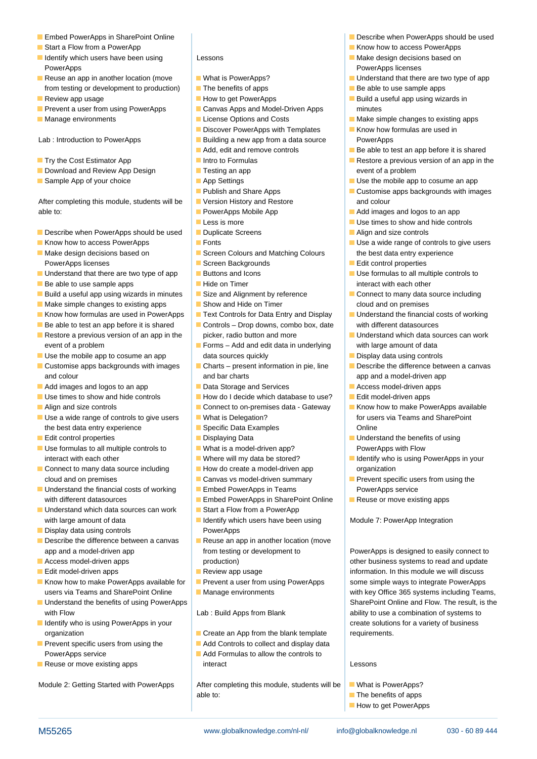- 
- **Start a Flow from a PowerApp Notified Access PowerApps** Know how to access PowerApps
- I Identify which users have been using  $\blacksquare$  Lessons  $\blacksquare$  Make design decisions based on PowerApps **line PowerApps licenses line PowerApps licenses**
- from testing or development to production) The benefits of apps Be able to use sample apps
- 
- **Prevent a user from using PowerApps Canvas Apps and Model-Driven Apps minutes** minutes
- 

Lab : Introduction to PowerApps **Building a new app from a data source** PowerApps

- **Try the Cost Estimator App**  $\blacksquare$  Intro to Formulas  $\blacksquare$  Restore a previous version of an app in the
- Download and Review App Design Testing an app event of a problem
- **Sample App of your choice** App Settings App Settings App Settings App to cosume an app and the mobile app to cosume an app and the mobile app to cosume an app and the mobile app to cosume an app and the mobile app to cosu

After completing this module, students will be Version History and Restore and colour able to: **PowerApps Mobile App Add images and logos to an app** able to:

- Describe when PowerApps should be used Duplicate Screens **Align and size controls**
- $\blacksquare$  Know how to access PowerApps  $\blacksquare$  Fonts  $\blacksquare$  Use a wide range of controls to give users
- PowerApps licenses Screen Backgrounds **Screen Backgrounds** Edit control properties
- If Understand that there are two type of app **Buttons and Icons** Use **In the Use formulas to all multiple controls to**
- **Be able to use sample apps Hide on Timer Hide on Timer interact with each other**
- Build a useful app using wizards in minutes  $\Box$  Size and Alignment by reference  $\Box$  Connect to many data source including
- $\blacksquare$  Make simple changes to existing apps  $\blacksquare$  Show and Hide on Timer  $\blacksquare$  cloud and on premises
- 
- 
- event of a problem Forms Add and edit data in underlying with large amount of data
- 
- and colour and bar charts and bar charts app and a model-driven app and a model-driven app
- **Add images and logos to an app Data Storage and Services D** Access model-driven apps
- 
- 
- Use a wide range of controls to give users What is Delegation? The Most of the state of the state Point the best data entry experience **Specific Data Examples** Chine
- **Edit control properties Displaying Data** Displaying Data **Displaying Data** Understand the benefits of using
- Use formulas to all multiple controls to  $\blacksquare$  What is a model-driven app? PowerApps with Flow interact with each other **Where will my data be stored?** Interact with each other who is using PowerApps in your
- Connect to many data source including **H**ow do create a model-driven app organization cloud and on premises **Canvas vs model-driven summary** Prevent specific users from using the
- Understand the financial costs of working | Embed PowerApps in Teams | PowerApps service with different datasources **Embed PowerApps in SharePoint Online** Reuse or move existing apps
- $\Box$  Understand which data sources can work  $\Box$  Start a Flow from a PowerApp with large amount of data **IDENTIFY** Identify which users have been using Module 7: PowerApp Integration
- **Display data using controls Controls Controls PowerApps**
- **Describe the difference between a canvas Reuse an app in another location (move** app and a model-driven app **From testing or development to** PowerApps is designed to easily connect to
- 
- Edit model-driven apps Review app usage information. In this module we will discuss
- Know how to make PowerApps available for Prevent a user from using PowerApps some simple ways to integrate PowerApps users via Teams and SharePoint Online Manage environments with key Office 365 systems including Teams,
- Understand the benefits of using PowerApps SharePoint Online and Flow. The result, is the with Flow **Lab : Build Apps from Blank** ability to use a combination of systems to
- I Identify who is using PowerApps in your line create solutions for a variety of business organization **Create an App from the blank template** requirements.
- 
- 

- 
- 
- 
- 
- 
- Discover PowerApps with Templates Know how formulas are used in
- 
- **Add, edit and remove controls** Be able to test an app before it is shared
- 
- 
- 
- Publish and Share Apps **Customise apps backgrounds with images**
- 
- **Less is more** Less is more Use times to show and hide controls
- 
- 
- Make design decisions based on Screen Colours and Matching Colours and the best data entry experience
	-
	-
	-
	-
	-
- Know how formulas are used in PowerApps  $\Box$  Text Controls for Data Entry and Display  $\Box$  Understand the financial costs of working
- Be able to test an app before it is shared Controls Drop downs, combo box, date with different datasources Restore a previous version of an app in the picker, radio button and more Understand which data sources can work
- Use the mobile app to cosume an app data sources quickly Display data using controls
- Customise apps backgrounds with images Charts present information in pie, line Describe the difference between a canvas
	-
- Use times to show and hide controls How do I decide which database to use? Edit model-driven apps
- Align and size controls Connect to on-premises data Gateway II Know how to make PowerApps available
	-
	-
	-
	-
	-
	-
	-
	-
	-
	-
	-
- Access model-driven apps **production** and production **and and update** business systems to read and update
	-
	-
	-

- 
- **Prevent specific users from using the**  $\blacksquare$  **Add Controls to collect and display data**
- PowerApps service **Add Formulas to allow the controls to Reuse or move existing apps interact contains the container of the CESSONS Lessons**

Module 2: Getting Started with PowerApps | After completing this module, students will be | What is PowerApps? able to: The benefits of apps

**In How to get PowerApps** 

M55265 www.globalknowledge.com/nl-nl/ info@globalknowledge.nl 030 - 60 89 444

- Embed PowerApps in SharePoint Online line line Describe when PowerApps should be used
	-
	-
- Reuse an app in another location (move What is PowerApps? Interest and that there are two type of app
	-
- Review app usage  $\Box$  How to get PowerApps  $\Box$  Build a useful app using wizards in
- $\blacksquare$  Manage environments  $\blacksquare$  License Options and Costs  $\blacksquare$  Make simple changes to existing apps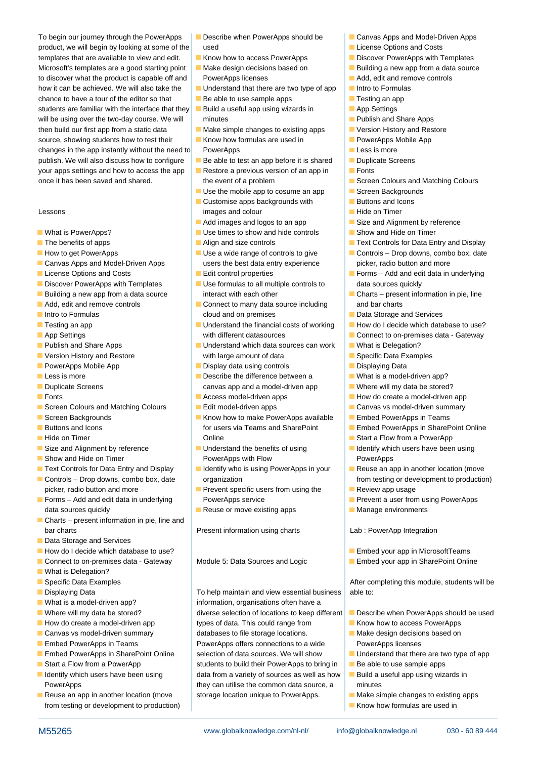To begin our journey through the PowerApps **Describe when PowerApps should be Canvas Apps and Model-Driven Apps** product, we will begin by looking at some of the used License Options and Costs templates that are available to view and edit. **Know how to access PowerApps Discover PowerApps with Templates** Microsoft's templates are a good starting point  $\Box$  Make design decisions based on  $\Box$  Building a new app from a data source to discover what the product is capable off and PowerApps licenses **Adden** Add, edit and remove controls how it can be achieved. We will also take the Understand that there are two type of app Intro to Formulas chance to have a tour of the editor so that  $\Box$  Be able to use sample apps  $\Box$  Testing an app students are familiar with the interface that they  $\Box$  Build a useful app using wizards in  $\Box$  App Settings will be using over the two-day course. We will minutes **Publish and Share Apps Publish and Share Apps** then build our first app from a static data  $\blacksquare$  Make simple changes to existing apps  $\blacksquare$  Version History and Restore source, showing students how to test their **K**now how formulas are used in **PowerApps Mobile App** changes in the app instantly without the need to PowerApps  $\Box$  Less is more publish. We will also discuss how to configure **B** Be able to test an app before it is shared **Duplicate Screens** your apps settings and how to access the app  $\Box$  Restore a previous version of an app in  $\Box$  Fonts once it has been saved and shared. the event of a problem Screen Colours and Matching Colours and Matching Colours and Matching Colours and Matching Colours and Matching Colours and Matching Colours and Matching Colours an

- 
- 
- 
- 
- 
- Discover PowerApps with Templates Use formulas to all multiple controls to data sources quickly
- 
- 
- 
- 
- 
- 
- 
- 
- 
- 
- 
- Screen Colours and Matching Colours Edit model-driven apps Canvas vs model-driven summary
- 
- 
- 
- 
- 
- Controls Drop downs, combo box, date organization organization from testing or development to production)
- **Forms** Add and edit data in underlying PowerApps service Prevent a user from using PowerApps data sources quickly **Reuse of move existing apps** Manage environments
- Charts present information in pie, line and bar charts **Present information using charts** Lab : PowerApp Integration
- Data Storage and Services
- **How do I decide which database to use?** Embed your app in MicrosoftTeams
- Connect to on-premises data Gateway Amodule 5: Data Sources and Logic Function Bure Point Online
- $\blacksquare$  What is Delegation?
- **Specific Data Examples** After completing this module, students will be specific Data Examples
- 
- 
- 
- 
- 
- 
- 
- 
- 
- from testing or development to production) line Know how formulas are used in
- 
- 
- 
- 
- 
- 
- 
- 
- 
- $\Box$  Use the mobile app to cosume an app  $\Box$  Screen Backgrounds
- Customise apps backgrounds with **Buttons and Icons** Lessons **images and colour Higgs** and colour **Higgs** and colour **Higgs** and colour
	-
- What is PowerApps? ■ Use times to show and hide controls Show and Hide on Timer
	-
- Canvas Apps and Model-Driven Apps users the best data entry experience picker, radio button and more
	-
- Building a new app from a data source interact with each other Charts present information in pie, line
- $\blacksquare$  Add, edit and remove controls  $\blacksquare$  Connect to many data source including and bar charts ■ Intro to Formulas and Services Data Storage and Services Data Storage and Services
- **Testing an app**  $\blacksquare$  Understand the financial costs of working  $\blacksquare$  How do I decide which database to use? **App Settings** and the setting with different datasources **Connect to on-premises data - Gateway**
- **Publish and Share Apps The Contract Application** Publish and Share Apps **Delegation**? ■ Version History and Restore With large amount of data Specific Data Examples
- **PowerApps Mobile App Controls Controls Controls Display data using controls Controls Controls Displaying Data**
- Less is more **Describe the difference between a** What is a model-driven app? Duplicate Screens **canvas app and a model-driven app** Where will my data be stored?
- **Fonts** Access model-driven apps **How do create a model-driven app How do create a model-driven app** 
	-
- Screen Backgrounds Note and Water Apple Embed PowerApps available NoverApps in Teams ■Buttons and Icons **For an Icons** for users via Teams and SharePoint Function Embed PowerApps in SharePoint Online ■ Hide on Timer Timer Conline Start a Flow from a PowerApp Number 2 and Start a Flow from a PowerApp
- Size and Alignment by reference **Understand the benefits of using Indertify which users have been using Show and Hide on Timer PowerApps with Flow PowerApps with Flow PowerApps with Flow PowerApps PowerApps**
- Text Controls for Data Entry and Display Intertify who is using PowerApps in your Reuse an app in another location (move
	- picker, radio button and more **Prevent specific users from using the Prevent specific** users from using the **Prevent** 
		-

**Displaying Data** To help maintain and view essential business able to: ■ What is a model-driven app? information, organisations often have a ■ Where will my data be stored? diverse selection of locations to keep different Describe when PowerApps should be used How do create a model-driven app types of data. This could range from **K** Know how to access PowerApps Canvas vs model-driven summary databases to file storage locations. Nake design decisions based on **Embed PowerApps in Teams** PowerApps offers connections to a wide PowerApps licenses **Embed PowerApps in SharePoint Online** selection of data sources. We will show Understand that there are two type of app **Start a Flow from a PowerApp** students to build their PowerApps to bring in Be able to use sample apps I Identify which users have been using  $\blacksquare$  data from a variety of sources as well as how  $\blacksquare$  Build a useful app using wizards in PowerApps **they can utilise the common data source, a** minutes Reuse an app in another location (move storage location unique to PowerApps. Make simple changes to existing apps

M55265 **beider as a more computed www.globalknowledge.com/nl-nl/** info@globalknowledge.nl 030 - 60 89 444

- 
- 
- 
- 
- 
- 
- 
- 
- 
- 
- 
- 
- 
- 
- 
- 
- 
- 
- Add images and logos to an app  $\Box$  Size and Alignment by reference
	-
- The benefits of apps  $\blacksquare$  Align and size controls  $\blacksquare$  Text Controls for Data Entry and Display
- How to get PowerApps 
 Use a wide range of controls to give 
 Controls Drop downs, combo box, date
- License Options and Costs Forms Edit control properties Forms Add and edit data in underlying
	-
	-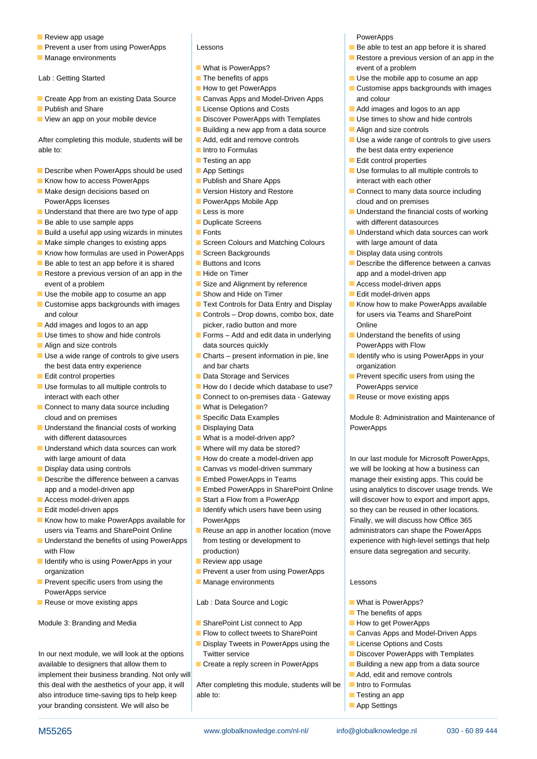- **Review app usage PowerApps PowerApps**
- 
- 

- $\blacksquare$  Create App from an existing Data Source  $\blacksquare$  Canvas Apps and Model-Driven Apps and colour
- 
- 

able to: **Intro to Formulas** the best data entry experience

- Describe when PowerApps should be used App Settings Use formulas to all multiple controls to all multiple controls to
- **Know how to access PowerApps Publish and Share Apps** interact with each other **Publish and Share Apps** interact with each other
- **Make design decisions based on Version History and Restore Connect to many data source including** PowerApps licenses **PowerApps Mobile App** cloud and on premises
- Understand that there are two type of app Less is more Less is more Development Manual Costs of working
- **Be able to use sample apps The Cupy Contract Contract Duplicate Screens** and the street with different datasources
- **Build a useful app using wizards in minutes Fonts Fonts** Understand which data sources can work
- $\blacksquare$  Make simple changes to existing apps  $\blacksquare$  Screen Colours and Matching Colours with large amount of data
- $\blacksquare$  Know how formulas are used in PowerApps  $\blacksquare$  Screen Backgrounds  $\blacksquare$  Display data using controls
- $\blacksquare$  Be able to test an app before it is shared  $\blacksquare$  Buttons and Icons  $\blacksquare$  Describe the difference between a canvas
- Restore a previous version of an app in the  $\Box$  Hide on Timer app and a model-driven app and a model-driven app and a model-driven app and a model-driven app and a model-driven app and a model-driven app and a model-driv event of a problem **Size and Alignment by reference** Access model-driven apps
- Use the mobile app to cosume an app  $\Box$  Show and Hide on Timer  $\Box$  Edit model-driven apps
- Customise apps backgrounds with images  $\Box$  Text Controls for Data Entry and Display  $\Box$  Know how to make PowerApps available and colour **Controls – Drop downs, combo box, date** for users via Teams and SharePoint
- 
- 
- 
- Use a wide range of controls to give users Charts present information in pie, line Identify who is using PowerApps in your the best data entry experience and bar charts and bar charts organization
- 
- Use formulas to all multiple controls to <br>■ How do I decide which database to use? PowerApps service interact with each other **Connect to on-premises data - Gateway** Reuse or move existing apps
- Connect to many data source including What is Delegation? cloud and on premises Specific Data Examples Module 8: Administration and Maintenance of
- Understand the financial costs of working Displaying Data PowerApps with different datasources What is a model-driven app?
- $\blacksquare$  Understand which data sources can work  $\blacksquare$  Where will my data be stored? with large amount of data **How do create a model-driven app** In our last module for Microsoft PowerApps,
- 
- Describe the difference between a canvas Embed PowerApps in Teams manage their existing apps. This could be app and a model-driven app **E**mbed PowerApps in SharePoint Online using analytics to discover usage trends. We
- Access model-driven apps Start a Flow from a PowerApp will discover how to export and import apps,
- 
- Know how to make PowerApps available for PowerApps Finally, we will discuss how Office 365 users via Teams and SharePoint Online **Reuse an app in another location (move** administrators can shape the PowerApps
- Understand the benefits of using PowerApps from testing or development to experience with high-level settings that help with Flow **production** production) ensure data segregation and security.
- I Identify who is using PowerApps in your Review app usage organization **Prevent a user from using PowerApps**
- **Prevent specific users from using the Manage environments** Lessons PowerApps service
- Reuse or move existing apps Lab : Data Source and Logic Neuron New Apps?

Module 3: Branding and Media SharePoint List connect to App **H** How to get PowerApps

In our next module, we will look at the options Twitter service **Discover PowerApps with Templates** In our next module, we will look at the options Twitter service available to designers that allow them to **CR** Create a reply screen in PowerApps **Building a new app from a data source** implement their business branding. Not only will Add, et it and remove controls and remove controls this deal with the aesthetics of your app, it will | After completing this module, students will be | Intro to Formulas also introduce time-saving tips to help keep able to: Testing an app able to: Testing an app your branding consistent. We will also be line App Settings and App Settings and App Settings and App Settings

- **E** What is PowerApps? event of a problem
- 
- 
- 
- 
- 
- Building a new app from a data source  $\blacksquare$  Align and size controls
- 
- 
- **line Testing an app Edit control properties**
- 
- 
- 
- 
- 
- 
- 
- 
- 
- 
- 
- 
- 
- 
- **Add images and logos to an app** picker, radio button and more **Online**
- Use times to show and hide controls **Forms** Add and edit data in underlying Inderstand the benefits of using **Align and size controls has a control of the sources quickly a control of the PowerApps with Flow** 
	-
- **Edit control properties Data Storage and Services** Prevent specific users from using the
	-
	-
	-
	-
	-
	-
	-
	-
- Display data using controls **Canvas vs model-driven summary** we will be looking at how a business can
	-
	-
- **Edit model-driven apps The Identify which users have been using Theory Can be reused in other locations.** 
	-
	-
	-
	-

- 
- **Example Flow to collect tweets to SharePoint** Canvas Apps and Model-Driven Apps
- Display Tweets in PowerApps using the License Options and Costs
- 

M55265 **beider as a more computed www.globalknowledge.com/nl-nl/** info@globalknowledge.nl 030 - 60 89 444

- 
- **Prevent a user from using PowerApps** Lessons Lessons Lessons Be able to test an app before it is shared
- **Manage environments** and a proposition of an app in the line Restore a previous version of an app in the set of an app in the set of an app in the set of an app in the set of an app in the set of an app in the set of an a
- Lab : Getting Started The Music Cosume and Duse the mobile app to cosume an app
	- **Example How to get PowerApps** Customise apps backgrounds with images
- **Publish and Share License Options and Costs** Add images and logos to an app
- $\blacksquare$  View an app on your mobile device  $\blacksquare$  Discover PowerApps with Templates  $\blacksquare$  Use times to show and hide controls
	-

 $\blacksquare$  The benefits of apps

After completing this module, students will be  $\Box$  Add, edit and remove controls USE a wide range of controls to give users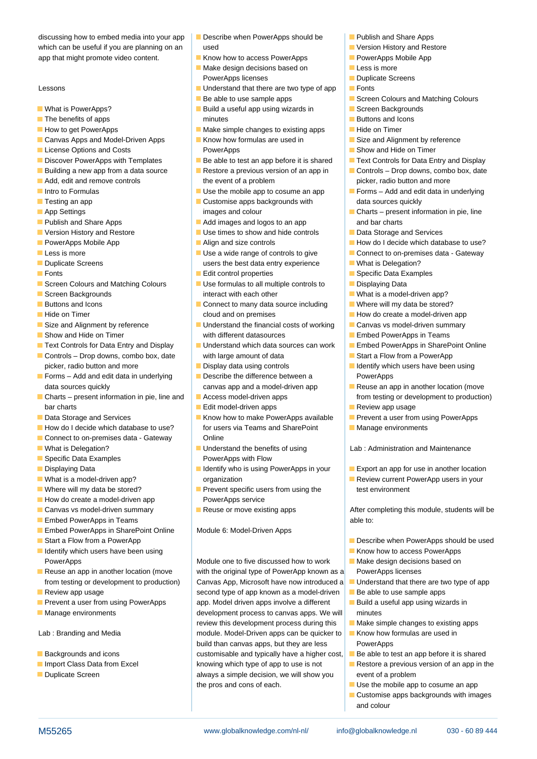discussing how to embed media into your app  $\Box$  Describe when PowerApps should be  $\Box$  Publish and Share Apps which can be useful if you are planning on an used version History and Restore Version History and Restore app that might promote video content.  $\blacksquare$  Know how to access PowerApps  $\blacksquare$  PowerApps Mobile App

- 
- 
- 
- Canvas Apps and Model-Driven Apps Know how formulas are used in Size and Alignment by reference
- 
- 
- Building a new app from a data source Restore a previous version of an app in Restore a prop downs, combo box, date
- 
- 
- 
- 
- 
- 
- 
- 
- 
- 
- Screen Colours and Matching Colours  **Use formulas to all multiple controls to** Displaying Data
- 
- 
- 
- 
- 
- Text Controls for Data Entry and Display Understand which data sources can work Embed PowerApps in SharePoint Online Controls – Drop downs, combo box, date with large amount of data Start a Flow from a PowerApp
- **Forms** Add and edit data in underlying **Describe the difference between a PowerApps**
- Charts present information in pie, line and Access model-driven apps from testing or development to production) bar charts **Edit model-driven apps Edit model-driven apps Edit model-driven apps Edit model-driven apps Edit model-driven apps Edit model-driven apps Edit model-driven apps Edit model-driven apps Edit model**
- 
- 
- Connect to on-premises data Gateway Conline
- 
- 
- 
- 
- 
- How do create a model-driven app PowerApps service
- **Canvas vs model-driven summary** Reuse or move existing apps **After completing this module, students will be** Reuse or move existing apps
- **Embed PowerApps in Teams able to:**  $\blacksquare$
- Embed PowerApps in SharePoint Online Module 6: Model-Driven Apps
- Start a Flow from a PowerApp line Describe when PowerApps should be used
- I Identify which users have been using I Research Manuscript Control of the Manuscript Control of Manuscript Control of Manuscript Control of Manuscript Control of Manuscript Control of Manuscript Control of Manuscript Con
- 
- 
- 
- 

- 
- 
- 
- 
- $\blacksquare$  Make design decisions based on  $\blacksquare$  Less is more
- Lessons **Lessons Lessons Example 2** Understand that there are two type of app **Fonts** 
	-
- What is PowerApps? Build a useful app using wizards in Screen Backgrounds The benefits of apps model is a set of the minutes  $\Box$  The benefits of apps and Icons
- $\blacksquare$  How to get PowerApps Make simple changes to existing apps  $\blacksquare$  Hide on Timer
- **License Options and Costs Costs** PowerApps **Show and Hide on Timer** Show and Hide on Timer
- Discover PowerApps with Templates Be able to test an app before it is shared Text Controls for Data Entry and Display
- **Add, edit and remove controls** the event of a problem **picker**, radio button and more
	-
- **Testing an app Customise apps backgrounds with data sources quickly**
- **Publish and Share Apps** Add images and logos to an app and bar charts
- Version History and Restore <br>■ Use times to show and hide controls Data Storage and Services
	-
- **Duplicate Screens Expansion** users the best data entry experience **Disk is Delegation**?
- **Fonts** Edit control properties Specific Data Examples
- Screen Backgrounds interact with each other  $\blacksquare$  Screen Backgrounds  $\blacksquare$  What is a model-driven app?
- Buttons and Icons **Connect to many data source including Text** Where will my data be stored?  $\blacksquare$  Hide on Timer **Example 2** How do create a model-driven app
- Size and Alignment by reference Understand the financial costs of working Canvas vs model-driven summary ■ Show and Hide on Timer With different datasources ■ ■ Embed PowerApps in Teams
	-
	- picker, radio button and more **Display data using controls Display data using controls Display data using controls**
	- data sources quickly example and a model-driven app **Reuse an app in another location (move** data sources quickly
		-
		-
- Data Storage and Services **Know how to make PowerApps available** Prevent a user from using PowerApps How do I decide which database to use? for users via Teams and SharePoint Manage environments
- What is Delegation? What is Delegation **Number 2016** Understand the benefits of using Lab : Administration and Maintenance Specific Data Examples **PowerApps with Flow**
- **Displaying Data** Internal Indentify who is using PowerApps in your **Export an app for use in another location** ■ What is a model-driven app? organization organization **Review Current PowerApp users in your**
- Where will my data be stored? Prevent specific users from using the test environment
	-

PowerApps Module one to five discussed how to work Make design decisions based on Reuse an app in another location (move with the original type of PowerApp known as a PowerApps licenses from testing or development to production) Canvas App, Microsoft have now introduced a Understand that there are two type of app Review app usage second type of app known as a model-driven  $\Box$  Be able to use sample apps **Prevent a user from using PowerApps** app. Model driven apps involve a different **Build a useful app using wizards in Manage environments** and development process to canvas apps. We will minutes review this development process during this  $\Box$  Make simple changes to existing apps Lab : Branding and Media **module. Model-Driven apps can be quicker to** Know how formulas are used in build than canvas apps, but they are less PowerApps **Backgrounds and icons** customisable and typically have a higher cost, Be able to test an app before it is shared Import Class Data from Excel knowing which type of app to use is not Restore a previous version of an app in the **Duplicate Screen always a simple decision, we will show you event of a problem** the pros and cons of each.  $\Box$  Use the mobile app to cosume an app

M55265 www.globalknowledge.com/nl-nl/ info@globalknowledge.nl 030 - 60 89 444

- 
- 
- 
- 
- PowerApps licenses Duplicate Screens
	-
- **E** Be able to use sample apps Screen Colours and Matching Colours **Screen** Colours and Matching Colours
	-
	-
	-
	-
	-
	-
	-
- Intro to Formulas The Cosume and Duse the mobile app to cosume an app The Forms Add and edit data in underlying
- **App Settings** images and colour **images and colour** Charts present information in pie, line
	-
- PowerApps Mobile App  $\blacksquare$  Align and size controls  $\blacksquare$  How do I decide which database to use?
- Less is more  $\Box$  Use a wide range of controls to give  $\Box$  Connect to on-premises data Gateway

 $\blacksquare$  Customise apps backgrounds with images

and colour